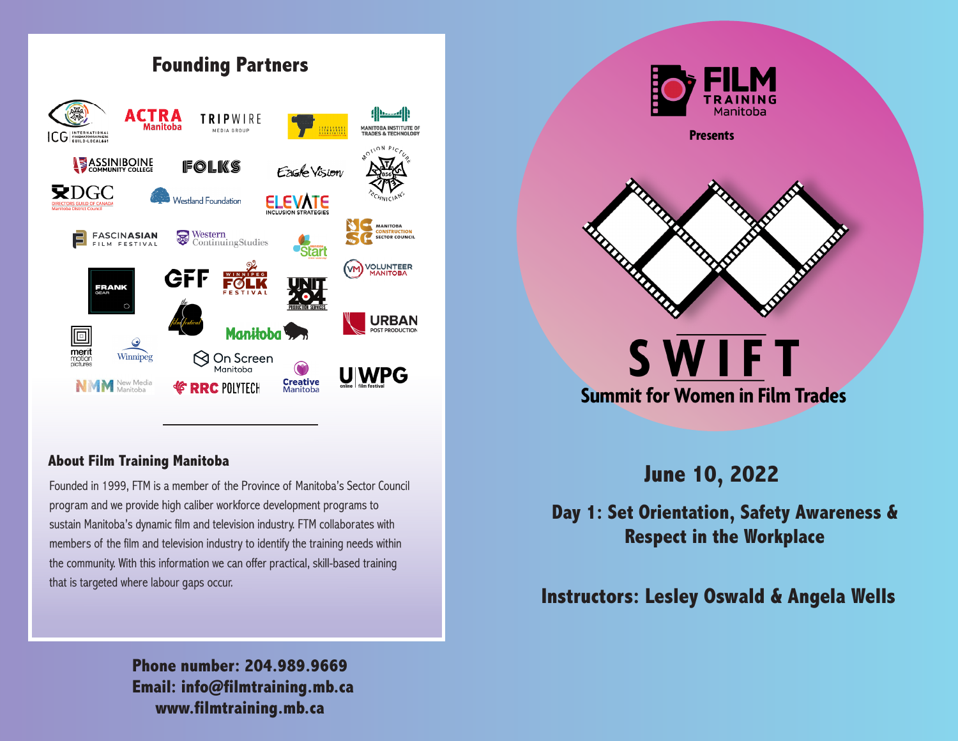

### **About Film Training Manitoba**

Founded in 1999, FTM is a member of the Province of Manitoba's Sector Council program and we provide high caliber workforce development programs to sustain Manitoba's dynamic film and television industry. FTM collaborates with members of the film and television industry to identify the training needs within the community. With this information we can offer practical, skill-based training that is targeted where labour gaps occur.

> **www.filmtraining.mb.ca Email: info@filmtraining.mb.ca Phone number: 204.989.9669**



## **June 10, 2022**

## **Day 1: Set Orientation, Safety Awareness & Respect in the Workplace**

## **Instructors: Lesley Oswald & Angela Wells**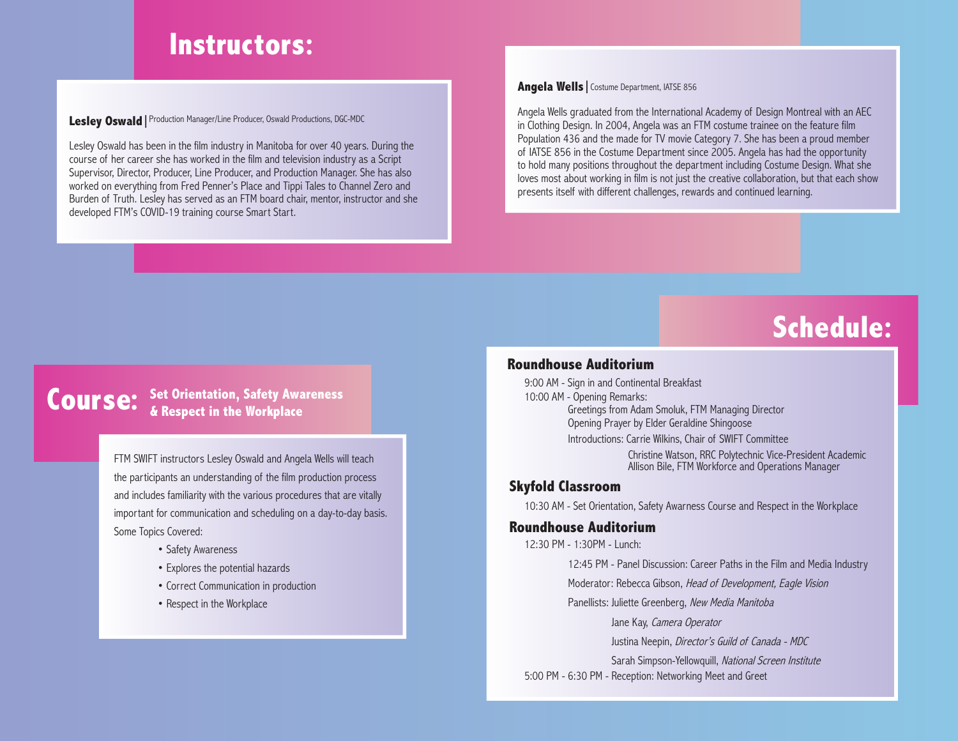## **Instructors:**

### Lesley Oswald | Production Manager/Line Producer, Oswald Productions, DGC-MDC

Lesley Oswald has been in the film industry in Manitoba for over 40 years. During the course of her career she has worked in the film and television industry as a Script Supervisor, Director, Producer, Line Producer, and Production Manager. She has also worked on everything from Fred Penner's Place and Tippi Tales to Channel Zero and Burden of Truth. Lesley has served as an FTM board chair, mentor, instructor and she developed FTM's COVID-19 training course Smart Start.

### **Angela Wells |** Costume Department, IATSE 856

Angela Wells graduated from the International Academy of Design Montreal with an AEC in Clothing Design. In 2004, Angela was an FTM costume trainee on the feature film Population 436 and the made for TV movie Category 7. She has been a proud member of IATSE 856 in the Costume Department since 2005. Angela has had the opportunity to hold many positions throughout the department including Costume Design. What she loves most about working in film is not just the creative collaboration, but that each show presents itself with different challenges, rewards and continued learning.

# **Schedule:**

### **Course:** Set Orientation, Safety Awareness<br> **Course:** & Respect in the Workplace **& Respect in the Workplace**

FTM SWIFT instructors Lesley Oswald and Angela Wells will teach the participants an understanding of the film production process and includes familiarity with the various procedures that are vitally important for communication and scheduling on a day-to-day basis. Some Topics Covered:

- Safety Awareness
- Explores the potential hazards
- Correct Communication in production
- Respect in the Workplace

### **Roundhouse Auditorium**

9:00 AM - Sign in and Continental Breakfast 10:00 AM - Opening Remarks: Greetings from Adam Smoluk, FTM Managing Director Opening Prayer by Elder Geraldine Shingoose Introductions: Carrie Wilkins, Chair of SWIFT Committee Christine Watson, RRC Polytechnic Vice-President Academic Allison Bile, FTM Workforce and Operations Manager

### **Skyfold Classroom**

10:30 AM - Set Orientation, Safety Awarness Course and Respect in the Workplace

#### **Roundhouse Auditorium**

12:30 PM - 1:30PM - Lunch:

12:45 PM - Panel Discussion: Career Paths in the Film and Media Industry

Moderator: Rebecca Gibson, Head of Development, Eagle Vision

Panellists: Juliette Greenberg, New Media Manitoba

Jane Kay, Camera Operator

Justina Neepin, Director's Guild of Canada - MDC

Sarah Simpson-Yellowquill, National Screen Institute 5:00 PM - 6:30 PM - Reception: Networking Meet and Greet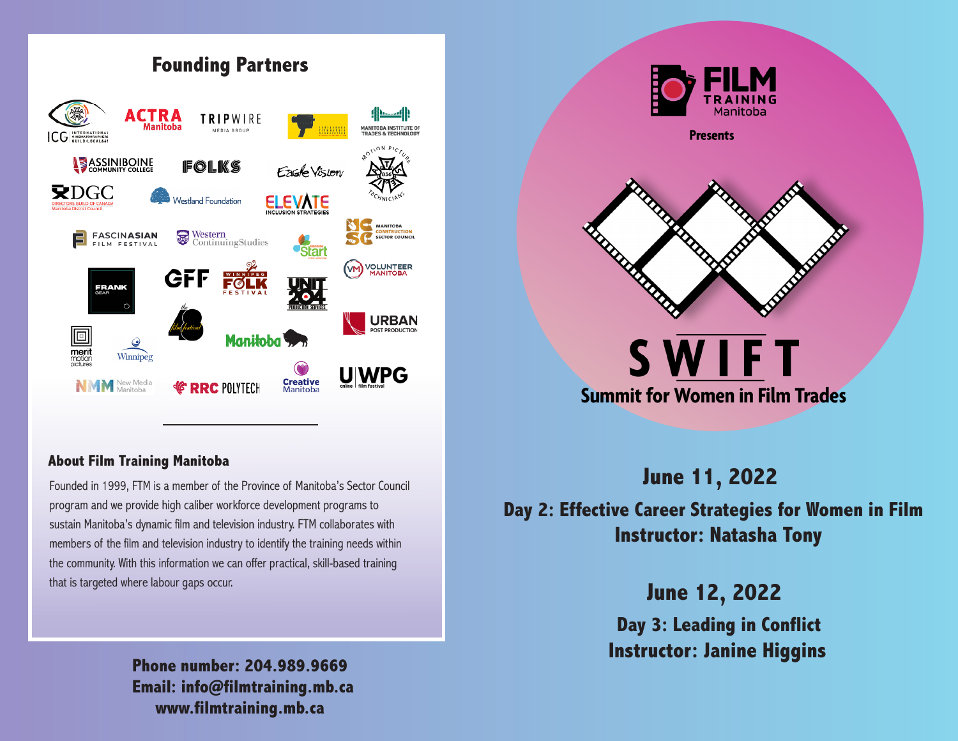

### **About Film Training Manitoba**

Founded in 1999, FTM is a member of the Province of Manitoba's Sector Council program and we provide high caliber workforce development programs to sustain Manitoba's dynamic film and television industry. FTM collaborates with members of the film and television industry to identify the training needs within the community. With this information we can offer practical, skill-based training that is targeted where labour gaps occur.

> **www.filmtraining.mb.ca Email: info@filmtraining.mb.ca Phone number: 204.989.9669**



**June 11, 2022 Day 2: Effective Career Strategies for Women in Film** 

**Instructor: Natasha Tony**

**June 12, 2022**

**Day 3: Leading in Conflict Instructor: Janine Higgins**